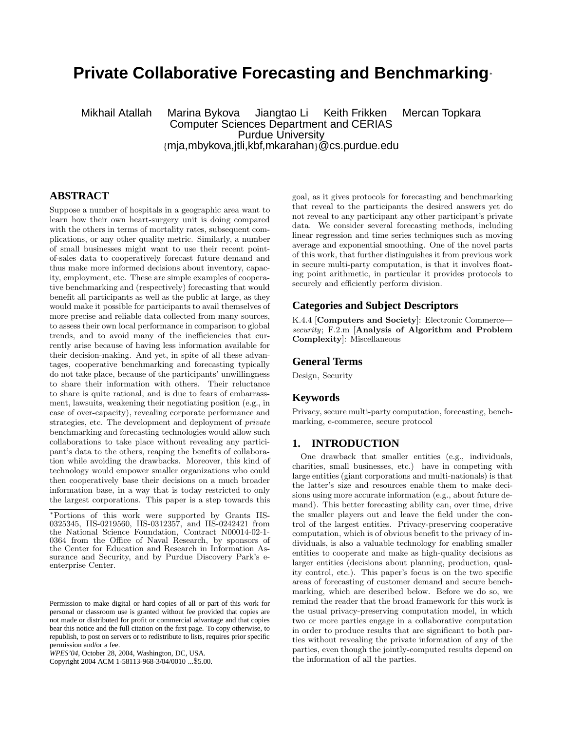# **Private Collaborative Forecasting and Benchmarking**<sup>∗</sup>

Mikhail Atallah Marina Bykova Jiangtao Li Keith Frikken Mercan Topkara Computer Sciences Department and CERIAS Purdue University {mja,mbykova,jtli,kbf,mkarahan}@cs.purdue.edu

## **ABSTRACT**

Suppose a number of hospitals in a geographic area want to learn how their own heart-surgery unit is doing compared with the others in terms of mortality rates, subsequent complications, or any other quality metric. Similarly, a number of small businesses might want to use their recent pointof-sales data to cooperatively forecast future demand and thus make more informed decisions about inventory, capacity, employment, etc. These are simple examples of cooperative benchmarking and (respectively) forecasting that would benefit all participants as well as the public at large, as they would make it possible for participants to avail themselves of more precise and reliable data collected from many sources, to assess their own local performance in comparison to global trends, and to avoid many of the inefficiencies that currently arise because of having less information available for their decision-making. And yet, in spite of all these advantages, cooperative benchmarking and forecasting typically do not take place, because of the participants' unwillingness to share their information with others. Their reluctance to share is quite rational, and is due to fears of embarrassment, lawsuits, weakening their negotiating position (e.g., in case of over-capacity), revealing corporate performance and strategies, etc. The development and deployment of private benchmarking and forecasting technologies would allow such collaborations to take place without revealing any participant's data to the others, reaping the benefits of collaboration while avoiding the drawbacks. Moreover, this kind of technology would empower smaller organizations who could then cooperatively base their decisions on a much broader information base, in a way that is today restricted to only the largest corporations. This paper is a step towards this

Copyright 2004 ACM 1-58113-968-3/04/0010 ...\$5.00.

goal, as it gives protocols for forecasting and benchmarking that reveal to the participants the desired answers yet do not reveal to any participant any other participant's private data. We consider several forecasting methods, including linear regression and time series techniques such as moving average and exponential smoothing. One of the novel parts of this work, that further distinguishes it from previous work in secure multi-party computation, is that it involves floating point arithmetic, in particular it provides protocols to securely and efficiently perform division.

#### **Categories and Subject Descriptors**

K.4.4 [Computers and Society]: Electronic Commerce security; F.2.m [Analysis of Algorithm and Problem Complexity]: Miscellaneous

## **General Terms**

Design, Security

#### **Keywords**

Privacy, secure multi-party computation, forecasting, benchmarking, e-commerce, secure protocol

## **1. INTRODUCTION**

One drawback that smaller entities (e.g., individuals, charities, small businesses, etc.) have in competing with large entities (giant corporations and multi-nationals) is that the latter's size and resources enable them to make decisions using more accurate information (e.g., about future demand). This better forecasting ability can, over time, drive the smaller players out and leave the field under the control of the largest entities. Privacy-preserving cooperative computation, which is of obvious benefit to the privacy of individuals, is also a valuable technology for enabling smaller entities to cooperate and make as high-quality decisions as larger entities (decisions about planning, production, quality control, etc.). This paper's focus is on the two specific areas of forecasting of customer demand and secure benchmarking, which are described below. Before we do so, we remind the reader that the broad framework for this work is the usual privacy-preserving computation model, in which two or more parties engage in a collaborative computation in order to produce results that are significant to both parties without revealing the private information of any of the parties, even though the jointly-computed results depend on the information of all the parties.

<sup>∗</sup>Portions of this work were supported by Grants IIS-0325345, IIS-0219560, IIS-0312357, and IIS-0242421 from the National Science Foundation, Contract N00014-02-1- 0364 from the Office of Naval Research, by sponsors of the Center for Education and Research in Information Assurance and Security, and by Purdue Discovery Park's eenterprise Center.

Permission to make digital or hard copies of all or part of this work for personal or classroom use is granted without fee provided that copies are not made or distributed for profit or commercial advantage and that copies bear this notice and the full citation on the first page. To copy otherwise, to republish, to post on servers or to redistribute to lists, requires prior specific permission and/or a fee.

*WPES'04,* October 28, 2004, Washington, DC, USA.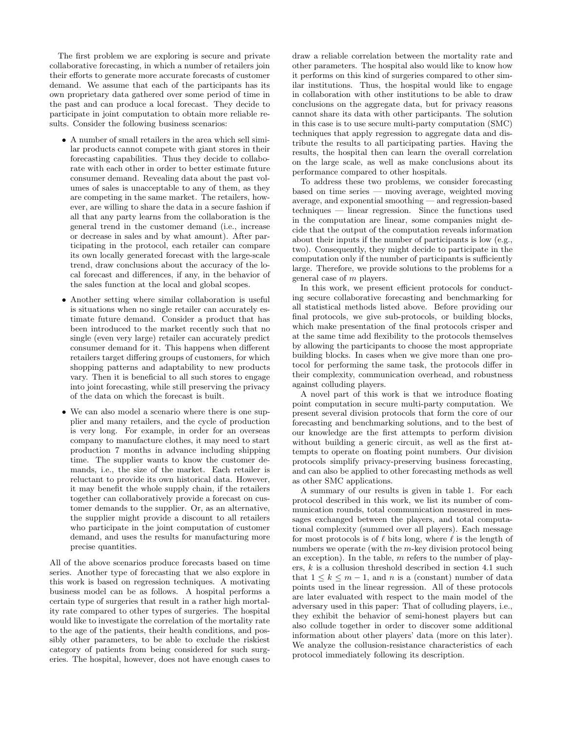The first problem we are exploring is secure and private collaborative forecasting, in which a number of retailers join their efforts to generate more accurate forecasts of customer demand. We assume that each of the participants has its own proprietary data gathered over some period of time in the past and can produce a local forecast. They decide to participate in joint computation to obtain more reliable results. Consider the following business scenarios:

- A number of small retailers in the area which sell similar products cannot compete with giant stores in their forecasting capabilities. Thus they decide to collaborate with each other in order to better estimate future consumer demand. Revealing data about the past volumes of sales is unacceptable to any of them, as they are competing in the same market. The retailers, however, are willing to share the data in a secure fashion if all that any party learns from the collaboration is the general trend in the customer demand (i.e., increase or decrease in sales and by what amount). After participating in the protocol, each retailer can compare its own locally generated forecast with the large-scale trend, draw conclusions about the accuracy of the local forecast and differences, if any, in the behavior of the sales function at the local and global scopes.
- Another setting where similar collaboration is useful is situations when no single retailer can accurately estimate future demand. Consider a product that has been introduced to the market recently such that no single (even very large) retailer can accurately predict consumer demand for it. This happens when different retailers target differing groups of customers, for which shopping patterns and adaptability to new products vary. Then it is beneficial to all such stores to engage into joint forecasting, while still preserving the privacy of the data on which the forecast is built.
- We can also model a scenario where there is one supplier and many retailers, and the cycle of production is very long. For example, in order for an overseas company to manufacture clothes, it may need to start production 7 months in advance including shipping time. The supplier wants to know the customer demands, i.e., the size of the market. Each retailer is reluctant to provide its own historical data. However, it may benefit the whole supply chain, if the retailers together can collaboratively provide a forecast on customer demands to the supplier. Or, as an alternative, the supplier might provide a discount to all retailers who participate in the joint computation of customer demand, and uses the results for manufacturing more precise quantities.

All of the above scenarios produce forecasts based on time series. Another type of forecasting that we also explore in this work is based on regression techniques. A motivating business model can be as follows. A hospital performs a certain type of surgeries that result in a rather high mortality rate compared to other types of surgeries. The hospital would like to investigate the correlation of the mortality rate to the age of the patients, their health conditions, and possibly other parameters, to be able to exclude the riskiest category of patients from being considered for such surgeries. The hospital, however, does not have enough cases to

draw a reliable correlation between the mortality rate and other parameters. The hospital also would like to know how it performs on this kind of surgeries compared to other similar institutions. Thus, the hospital would like to engage in collaboration with other institutions to be able to draw conclusions on the aggregate data, but for privacy reasons cannot share its data with other participants. The solution in this case is to use secure multi-party computation (SMC) techniques that apply regression to aggregate data and distribute the results to all participating parties. Having the results, the hospital then can learn the overall correlation on the large scale, as well as make conclusions about its performance compared to other hospitals.

To address these two problems, we consider forecasting based on time series — moving average, weighted moving average, and exponential smoothing — and regression-based techniques — linear regression. Since the functions used in the computation are linear, some companies might decide that the output of the computation reveals information about their inputs if the number of participants is low (e.g., two). Consequently, they might decide to participate in the computation only if the number of participants is sufficiently large. Therefore, we provide solutions to the problems for a general case of m players.

In this work, we present efficient protocols for conducting secure collaborative forecasting and benchmarking for all statistical methods listed above. Before providing our final protocols, we give sub-protocols, or building blocks, which make presentation of the final protocols crisper and at the same time add flexibility to the protocols themselves by allowing the participants to choose the most appropriate building blocks. In cases when we give more than one protocol for performing the same task, the protocols differ in their complexity, communication overhead, and robustness against colluding players.

A novel part of this work is that we introduce floating point computation in secure multi-party computation. We present several division protocols that form the core of our forecasting and benchmarking solutions, and to the best of our knowledge are the first attempts to perform division without building a generic circuit, as well as the first attempts to operate on floating point numbers. Our division protocols simplify privacy-preserving business forecasting, and can also be applied to other forecasting methods as well as other SMC applications.

A summary of our results is given in table 1. For each protocol described in this work, we list its number of communication rounds, total communication measured in messages exchanged between the players, and total computational complexity (summed over all players). Each message for most protocols is of  $\ell$  bits long, where  $\ell$  is the length of numbers we operate (with the m-key division protocol being an exception). In the table,  $m$  refers to the number of players, k is a collusion threshold described in section 4.1 such that  $1 \leq k \leq m-1$ , and n is a (constant) number of data points used in the linear regression. All of these protocols are later evaluated with respect to the main model of the adversary used in this paper: That of colluding players, i.e., they exhibit the behavior of semi-honest players but can also collude together in order to discover some additional information about other players' data (more on this later). We analyze the collusion-resistance characteristics of each protocol immediately following its description.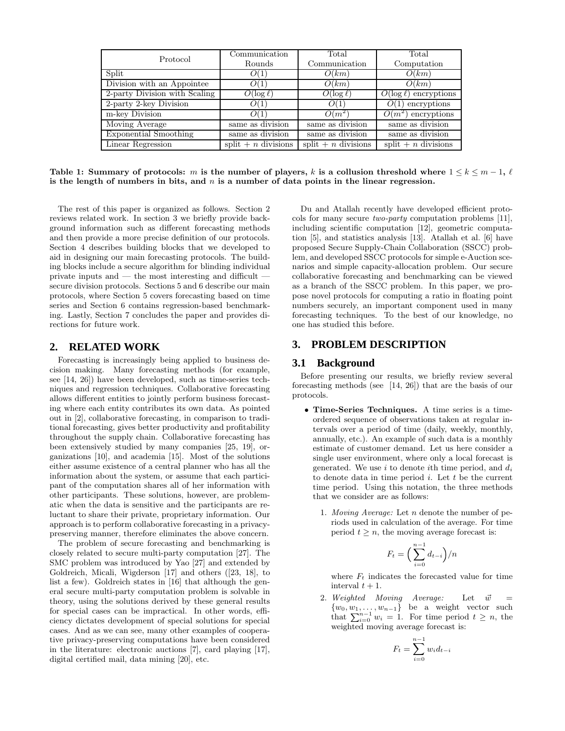| Protocol                      | Communication<br>Rounds   | Total<br>Communication          | Total<br>Computation       |
|-------------------------------|---------------------------|---------------------------------|----------------------------|
| Split                         |                           | O(km)                           | O(km)                      |
| Division with an Appointee    |                           | O(km)                           | O(km)                      |
| 2-party Division with Scaling | $\overline{O}(\log \ell)$ | $\overline{O(\log \ell})$       | $O(\log \ell)$ encryptions |
| 2-party 2-key Division        |                           | O(1)                            | (1) encryptions            |
| m-key Division                |                           | $O(m^2)$                        | $O(m^2)$ encryptions       |
| Moving Average                | same as division          | same as division                | same as division           |
| Exponential Smoothing         | same as division          | same as division                | same as division           |
| Linear Regression             | split $+ n$ divisions     | split $\overline{+n}$ divisions | split $+ n$ divisions      |

Table 1: Summary of protocols: m is the number of players, k is a collusion threshold where  $1 \leq k \leq m-1$ ,  $\ell$ is the length of numbers in bits, and  $n$  is a number of data points in the linear regression.

The rest of this paper is organized as follows. Section 2 reviews related work. In section 3 we briefly provide background information such as different forecasting methods and then provide a more precise definition of our protocols. Section 4 describes building blocks that we developed to aid in designing our main forecasting protocols. The building blocks include a secure algorithm for blinding individual private inputs and — the most interesting and difficult secure division protocols. Sections 5 and 6 describe our main protocols, where Section 5 covers forecasting based on time series and Section 6 contains regression-based benchmarking. Lastly, Section 7 concludes the paper and provides directions for future work.

## **2. RELATED WORK**

Forecasting is increasingly being applied to business decision making. Many forecasting methods (for example, see [14, 26]) have been developed, such as time-series techniques and regression techniques. Collaborative forecasting allows different entities to jointly perform business forecasting where each entity contributes its own data. As pointed out in [2], collaborative forecasting, in comparison to traditional forecasting, gives better productivity and profitability throughout the supply chain. Collaborative forecasting has been extensively studied by many companies [25, 19], organizations [10], and academia [15]. Most of the solutions either assume existence of a central planner who has all the information about the system, or assume that each participant of the computation shares all of her information with other participants. These solutions, however, are problematic when the data is sensitive and the participants are reluctant to share their private, proprietary information. Our approach is to perform collaborative forecasting in a privacypreserving manner, therefore eliminates the above concern.

The problem of secure forecasting and benchmarking is closely related to secure multi-party computation [27]. The SMC problem was introduced by Yao [27] and extended by Goldreich, Micali, Wigderson [17] and others ([23, 18], to list a few). Goldreich states in [16] that although the general secure multi-party computation problem is solvable in theory, using the solutions derived by these general results for special cases can be impractical. In other words, efficiency dictates development of special solutions for special cases. And as we can see, many other examples of cooperative privacy-preserving computations have been considered in the literature: electronic auctions [7], card playing [17], digital certified mail, data mining [20], etc.

Du and Atallah recently have developed efficient protocols for many secure two-party computation problems [11], including scientific computation [12], geometric computation [5], and statistics analysis [13]. Atallah et al. [6] have proposed Secure Supply-Chain Collaboration (SSCC) problem, and developed SSCC protocols for simple e-Auction scenarios and simple capacity-allocation problem. Our secure collaborative forecasting and benchmarking can be viewed as a branch of the SSCC problem. In this paper, we propose novel protocols for computing a ratio in floating point numbers securely, an important component used in many forecasting techniques. To the best of our knowledge, no one has studied this before.

## **3. PROBLEM DESCRIPTION**

#### **3.1 Background**

Before presenting our results, we briefly review several forecasting methods (see [14, 26]) that are the basis of our protocols.

- Time-Series Techniques. A time series is a timeordered sequence of observations taken at regular intervals over a period of time (daily, weekly, monthly, annually, etc.). An example of such data is a monthly estimate of customer demand. Let us here consider a single user environment, where only a local forecast is generated. We use i to denote ith time period, and  $d_i$ to denote data in time period  $i$ . Let  $t$  be the current time period. Using this notation, the three methods that we consider are as follows:
	- 1. Moving Average: Let n denote the number of periods used in calculation of the average. For time period  $t \geq n$ , the moving average forecast is:

$$
F_t = \Big(\sum_{i=0}^{n-1} d_{t-i}\Big)/n
$$

where  $F_t$  indicates the forecasted value for time interval  $t + 1$ .

2. Weighted Moving Average: Let  $\vec{w}$  =  $\{w_0, w_1, \ldots, w_{n-1}\}\$  be a weight vector such that  $\sum_{i=0}^{n-1} w_i = 1$ . For time period  $t \geq n$ , the weighted moving average forecast is:

$$
F_t = \sum_{i=0}^{n-1} w_i d_{t-i}
$$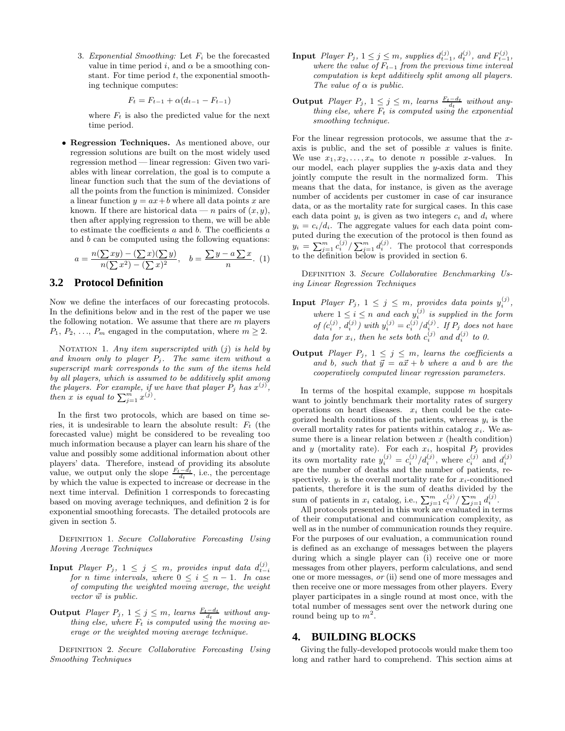3. Exponential Smoothing: Let  $F_i$  be the forecasted value in time period i, and  $\alpha$  be a smoothing constant. For time period  $t$ , the exponential smoothing technique computes:

$$
F_t = F_{t-1} + \alpha (d_{t-1} - F_{t-1})
$$

where  $F_t$  is also the predicted value for the next time period.

• Regression Techniques. As mentioned above, our regression solutions are built on the most widely used regression method — linear regression: Given two variables with linear correlation, the goal is to compute a linear function such that the sum of the deviations of all the points from the function is minimized. Consider a linear function  $y = ax + b$  where all data points x are known. If there are historical data — n pairs of  $(x, y)$ , then after applying regression to them, we will be able to estimate the coefficients  $a$  and  $b$ . The coefficients  $a$ and  $b$  can be computed using the following equations:

$$
a = \frac{n(\sum xy) - (\sum x)(\sum y)}{n(\sum x^2) - (\sum x)^2}, \quad b = \frac{\sum y - a \sum x}{n}.
$$
 (1) to the

#### **3.2 Protocol Definition**

Now we define the interfaces of our forecasting protocols. In the definitions below and in the rest of the paper we use the following notation. We assume that there are  $m$  players  $P_1, P_2, \ldots, P_m$  engaged in the computation, where  $m \geq 2$ .

NOTATION 1. Any item superscripted with  $(j)$  is held by and known only to player  $P_j$ . The same item without a superscript mark corresponds to the sum of the items held by all players, which is assumed to be additively split among the players. For example, if we have that player  $P_j$  has  $x^{(j)}$ , then x is equal to  $\sum_{j=1}^{m} x^{(j)}$ .

In the first two protocols, which are based on time series, it is undesirable to learn the absolute result:  $F_t$  (the forecasted value) might be considered to be revealing too much information because a player can learn his share of the value and possibly some additional information about other players' data. Therefore, instead of providing its absolute value, we output only the slope  $\frac{F_t-d_t}{d_t}$ , i.e., the percentage by which the value is expected to increase or decrease in the next time interval. Definition 1 corresponds to forecasting based on moving average techniques, and definition 2 is for exponential smoothing forecasts. The detailed protocols are given in section 5.

Definition 1. Secure Collaborative Forecasting Using Moving Average Techniques

- **Input** Player  $P_j$ ,  $1 \leq j \leq m$ , provides input data  $d_{t-i}^{(j)}$ for n time intervals, where  $0 \leq i \leq n-1$ . In case of computing the weighted moving average, the weight vector  $\vec{w}$  is public.
- **Output** Player  $P_j$ ,  $1 \leq j \leq m$ , learns  $\frac{F_t-d_t}{dt}$  without anything else, where  $F_t$  is computed using the moving average or the weighted moving average technique.

DEFINITION 2. Secure Collaborative Forecasting Using Smoothing Techniques

- **Input** Player  $P_j$ ,  $1 \leq j \leq m$ , supplies  $d_{t-1}^{(j)}$ ,  $d_t^{(j)}$ , and  $F_{t-1}^{(j)}$ , where the value of  $F_{t-1}$  from the previous time interval computation is kept additively split among all players. The value of  $\alpha$  is public.
- Output Player  $P_j$ ,  $1 \leq j \leq m$ , learns  $\frac{F_t-d_t}{d_t}$  without anything else, where  $F_t$  is computed using the exponential smoothing technique.

For the linear regression protocols, we assume that the  $x$ axis is public, and the set of possible  $x$  values is finite. We use  $x_1, x_2, \ldots, x_n$  to denote *n* possible *x*-values. In our model, each player supplies the y-axis data and they jointly compute the result in the normalized form. This means that the data, for instance, is given as the average number of accidents per customer in case of car insurance data, or as the mortality rate for surgical cases. In this case each data point  $y_i$  is given as two integers  $c_i$  and  $d_i$  where  $y_i = c_i/d_i$ . The aggregate values for each data point computed during the execution of the protocol is then found as  $y_i = \sum_{j=1}^m c_i^{(j)} / \sum_{j=1}^m d_i^{(j)}$ . The protocol that corresponds to the definition below is provided in section 6.

DEFINITION 3. Secure Collaborative Benchmarking Using Linear Regression Techniques

- **Input** Player  $P_j$ ,  $1 \leq j \leq m$ , provides data points  $y_i^{(j)}$ , if  $i$  tager  $1_j$ ,  $1 \leq j \leq m$ , problems data points  $y_i$ ,<br>where  $1 \leq i \leq n$  and each  $y_i^{(j)}$  is supplied in the form of  $(c_i^{(j)}, d_i^{(j)})$  with  $y_i^{(j)} = c_i^{(j)}/d_i^{(j)}$ . If  $P_j$  does not have data for  $x_i$ , then he sets both  $c_i^{(j)}$  and  $d_i^{(j)}$  to 0.
- Output Player  $P_j$ ,  $1 \leq j \leq m$ , learns the coefficients a and b, such that  $\vec{y} = a\vec{x} + b$  where a and b are the cooperatively computed linear regression parameters.

In terms of the hospital example, suppose  $m$  hospitals want to jointly benchmark their mortality rates of surgery operations on heart diseases.  $x_i$  then could be the categorized health conditions of the patients, whereas  $y_i$  is the overall mortality rates for patients within catalog  $x_i$ . We assume there is a linear relation between  $x$  (health condition) and y (mortality rate). For each  $x_i$ , hospital  $P_j$  provides its own mortality rate  $y_i^{(j)} = c_i^{(j)}/d_i^{(j)}$ , where  $c_i^{(j)}$  and  $d_i^{(j)}$ are the number of deaths and the number of patients, respectively.  $y_i$  is the overall mortality rate for  $x_i$ -conditioned patients, therefore it is the sum of deaths divided by the sum of patients in  $x_i$  catalog, i.e.,  $\sum_{j=1}^m c_i^{(j)}/\sum_{j=1}^m d_i^{(j)}$ .

All protocols presented in this work are evaluated in terms of their computational and communication complexity, as well as in the number of communication rounds they require. For the purposes of our evaluation, a communication round is defined as an exchange of messages between the players during which a single player can (i) receive one or more messages from other players, perform calculations, and send one or more messages, or (ii) send one of more messages and then receive one or more messages from other players. Every player participates in a single round at most once, with the total number of messages sent over the network during one round being up to  $m^2$ .

## **4. BUILDING BLOCKS**

Giving the fully-developed protocols would make them too long and rather hard to comprehend. This section aims at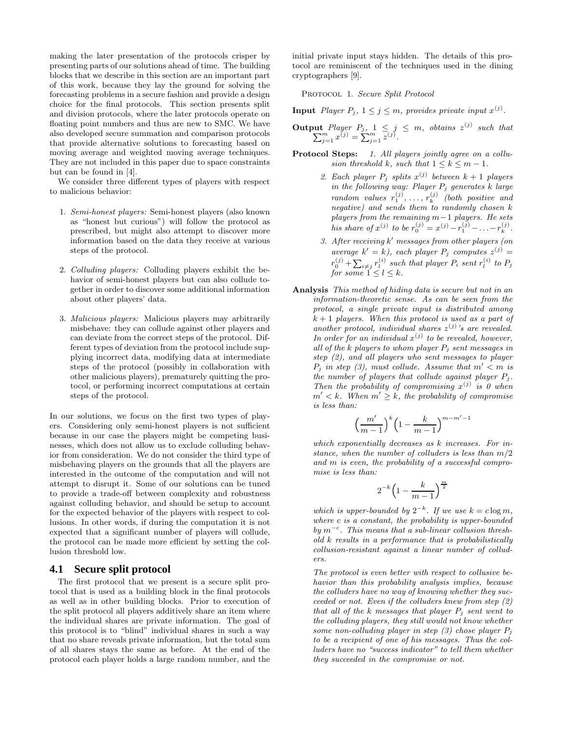making the later presentation of the protocols crisper by presenting parts of our solutions ahead of time. The building blocks that we describe in this section are an important part of this work, because they lay the ground for solving the forecasting problems in a secure fashion and provide a design choice for the final protocols. This section presents split and division protocols, where the later protocols operate on floating point numbers and thus are new to SMC. We have also developed secure summation and comparison protocols that provide alternative solutions to forecasting based on moving average and weighted moving average techniques. They are not included in this paper due to space constraints but can be found in [4].

We consider three different types of players with respect to malicious behavior:

- 1. Semi-honest players: Semi-honest players (also known as "honest but curious") will follow the protocol as prescribed, but might also attempt to discover more information based on the data they receive at various steps of the protocol.
- 2. Colluding players: Colluding players exhibit the behavior of semi-honest players but can also collude together in order to discover some additional information about other players' data.
- 3. Malicious players: Malicious players may arbitrarily misbehave: they can collude against other players and can deviate from the correct steps of the protocol. Different types of deviation from the protocol include supplying incorrect data, modifying data at intermediate steps of the protocol (possibly in collaboration with other malicious players), prematurely quitting the protocol, or performing incorrect computations at certain steps of the protocol.

In our solutions, we focus on the first two types of players. Considering only semi-honest players is not sufficient because in our case the players might be competing businesses, which does not allow us to exclude colluding behavior from consideration. We do not consider the third type of misbehaving players on the grounds that all the players are interested in the outcome of the computation and will not attempt to disrupt it. Some of our solutions can be tuned to provide a trade-off between complexity and robustness against colluding behavior, and should be setup to account for the expected behavior of the players with respect to collusions. In other words, if during the computation it is not expected that a significant number of players will collude, the protocol can be made more efficient by setting the collusion threshold low.

#### **4.1 Secure split protocol**

The first protocol that we present is a secure split protocol that is used as a building block in the final protocols as well as in other building blocks. Prior to execution of the split protocol all players additively share an item where the individual shares are private information. The goal of this protocol is to "blind" individual shares in such a way that no share reveals private information, but the total sum of all shares stays the same as before. At the end of the protocol each player holds a large random number, and the initial private input stays hidden. The details of this protocol are reminiscent of the techniques used in the dining cryptographers [9].

Protocol 1. Secure Split Protocol

**Input** Player  $P_j$ ,  $1 \leq j \leq m$ , provides private input  $x^{(j)}$ .

- **Output** Player  $P_j$ ,  $1 \leq j \leq m$ , obtains  $z^{(j)}$  such that  $\sum_{j=1}^{m} x^{(j)} = \sum_{j=1}^{m} z^{(j)}.$
- Protocol Steps: 1. All players jointly agree on a collusion threshold k, such that  $1 \leq k \leq m-1$ .
	- 2. Each player  $P_j$  splits  $x^{(j)}$  between  $k+1$  players in the following way: Player  $P_j$  generates k large  $random \text{ values } r_1^{(j)}, \ldots, r_k^{(j)} \text{ (both positive and }$ negative) and sends them to randomly chosen k players from the remaining m−1 players. He sets his share of  $x^{(j)}$  to be  $r_0^{(j)} = x^{(j)} - r_1^{(j)} - \ldots - r_k^{(j)}$ .
	- 3. After receiving k' messages from other players (on average  $k' = k$ ), each player  $P_j$  computes  $z^{(j)} =$  $r_0^{(j)} + \sum_{i \neq j} r_l^{(i)}$  such that player  $P_i$  sent  $r_l^{(i)}$  to  $P_j$ for some  $1 \leq l \leq k$ .
- Analysis This method of hiding data is secure but not in an information-theoretic sense. As can be seen from the protocol, a single private input is distributed among  $k + 1$  players. When this protocol is used as a part of another protocol, individual shares  $z^{(j)}$ 's are revealed. In order for an individual  $x^{(j)}$  to be revealed, however, all of the  $k$  players to whom player  $P_j$  sent messages in step (2), and all players who sent messages to player  $P_i$  in step (3), must collude. Assume that  $m' < m$  is the number of players that collude against player  $P_i$ . Then the probability of compromising  $x^{(j)}$  is 0 when  $m' < k$ . When  $m' \geq k$ , the probability of compromise is less than:

$$
\left(\frac{m'}{m-1}\right)^k \left(1 - \frac{k}{m-1}\right)^{m-m'-1}
$$

which exponentially decreases as k increases. For instance, when the number of colluders is less than  $m/2$ and m is even, the probability of a successful compromise is less than:

$$
2^{-k}\left(1-\frac{k}{m-1}\right)^{\frac{m}{2}}
$$

which is upper-bounded by  $2^{-k}$ . If we use  $k = c \log m$ , where c is a constant, the probability is upper-bounded by  $m^{-c}$ . This means that a sub-linear collusion threshold k results in a performance that is probabilistically collusion-resistant against a linear number of colluders.

The protocol is even better with respect to collusive behavior than this probability analysis implies, because the colluders have no way of knowing whether they succeeded or not. Even if the colluders knew from step (2) that all of the k messages that player  $P_i$  sent went to the colluding players, they still would not know whether some non-colluding player in step  $(3)$  chose player  $P_i$ to be a recipient of one of his messages. Thus the colluders have no "success indicator" to tell them whether they succeeded in the compromise or not.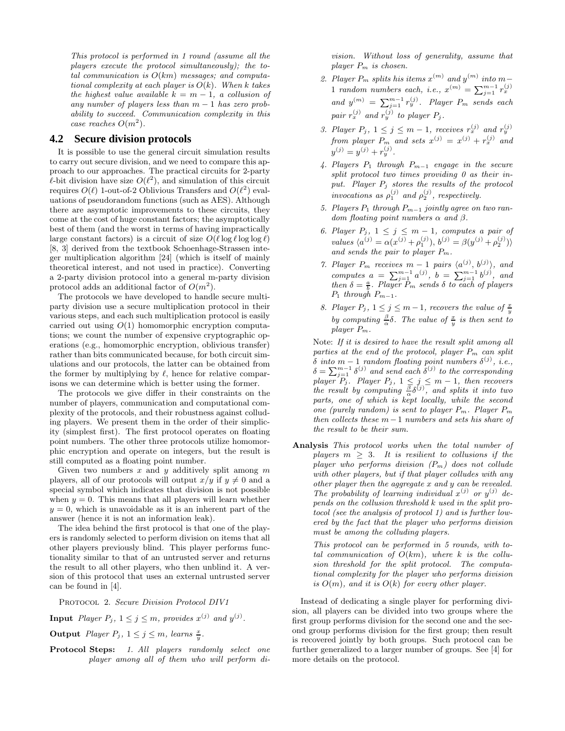This protocol is performed in 1 round (assume all the players execute the protocol simultaneously); the total communication is  $O(km)$  messages; and computational complexity at each player is  $O(k)$ . When k takes the highest value available  $k = m - 1$ , a collusion of any number of players less than  $m-1$  has zero probability to succeed. Communication complexity in this case reaches  $O(m^2)$ .

#### **4.2 Secure division protocols**

It is possible to use the general circuit simulation results to carry out secure division, and we need to compare this approach to our approaches. The practical circuits for 2-party  $\ell$ -bit division have size  $O(\ell^2)$ , and simulation of this circuit requires  $O(\ell)$  1-out-of-2 Oblivious Transfers and  $O(\ell^2)$  evaluations of pseudorandom functions (such as AES). Although there are asymptotic improvements to these circuits, they come at the cost of huge constant factors; the asymptotically best of them (and the worst in terms of having impractically large constant factors) is a circuit of size  $O(\ell \log \ell \log \log \ell)$ [8, 3] derived from the textbook Schoenhage-Strassen integer multiplication algorithm [24] (which is itself of mainly theoretical interest, and not used in practice). Converting a 2-party division protocol into a general m-party division protocol adds an additional factor of  $O(m^2)$ .

The protocols we have developed to handle secure multiparty division use a secure multiplication protocol in their various steps, and each such multiplication protocol is easily carried out using  $O(1)$  homomorphic encryption computations; we count the number of expensive cryptographic operations (e.g., homomorphic encryption, oblivious transfer) rather than bits communicated because, for both circuit simulations and our protocols, the latter can be obtained from the former by multiplying by  $\ell$ , hence for relative comparisons we can determine which is better using the former.

The protocols we give differ in their constraints on the number of players, communication and computational complexity of the protocols, and their robustness against colluding players. We present them in the order of their simplicity (simplest first). The first protocol operates on floating point numbers. The other three protocols utilize homomorphic encryption and operate on integers, but the result is still computed as a floating point number.

Given two numbers  $x$  and  $y$  additively split among  $m$ players, all of our protocols will output  $x/y$  if  $y \neq 0$  and a special symbol which indicates that division is not possible when  $y = 0$ . This means that all players will learn whether  $y = 0$ , which is unavoidable as it is an inherent part of the answer (hence it is not an information leak).

The idea behind the first protocol is that one of the players is randomly selected to perform division on items that all other players previously blind. This player performs functionality similar to that of an untrusted server and returns the result to all other players, who then unblind it. A version of this protocol that uses an external untrusted server can be found in [4].

PROTOCOL 2. Secure Division Protocol DIV1

**Input** Player  $P_j$ ,  $1 \leq j \leq m$ , provides  $x^{(j)}$  and  $y^{(j)}$ .

Output *Player P<sub>j</sub>*,  $1 \leq j \leq m$ , *learns*  $\frac{x}{y}$ .

Protocol Steps: 1. All players randomly select one player among all of them who will perform division. Without loss of generality, assume that player  $P_m$  is chosen.

- 2. Player  $P_m$  splits his items  $x^{(m)}$  and  $y^{(m)}$  into  $m-$ 1 random numbers each, i.e.,  $x^{(m)} = \sum_{j=1}^{m-1} r_x^{(j)}$ and  $y^{(m)} = \sum_{j=1}^{m-1} r_y^{(j)}$ . Player  $P_m$  sends each pair  $r_x^{(j)}$  and  $r_y^{(j)}$  to player  $P_j$ .
- 3. Player  $P_j$ ,  $1 \leq j \leq m-1$ , receives  $r_x^{(j)}$  and  $r_y^{(j)}$ from player  $P_m$  and sets  $x^{(j)} = x^{(j)} + r_x^{(j)}$  and  $y^{(j)} = y^{(j)} + r_y^{(j)}.$
- 4. Players  $P_1$  through  $P_{m-1}$  engage in the secure split protocol two times providing  $\theta$  as their input. Player  $P_i$  stores the results of the protocol invocations as  $\rho_1^{(j)}$  and  $\rho_2^{(j)}$ , respectively.
- 5. Players  $P_1$  through  $P_{m-1}$  jointly agree on two random floating point numbers  $\alpha$  and  $\beta$ .
- 6. Player  $P_j$ ,  $1 \leq j \leq m-1$ , computes a pair of values  $\langle a^{(j)} = \alpha(x^{(j)} + \rho_1^{(j)}), b^{(j)} = \beta(y^{(j)} + \rho_2^{(j)}) \rangle$ and sends the pair to player  $P_m$ .
- 7. Player  $P_m$  receives  $m-1$  pairs  $\langle a^{(j)}, b^{(j)} \rangle$ , and computes  $a = \sum_{j=1}^{m-1} a^{(j)}$ ,  $b = \sum_{j=1}^{m-1} b^{(j)}$ , and then  $\delta = \frac{a}{b}$ . Player  $\hat{P}_m$  sends  $\delta$  to each of players  $P_1$  through  $P_{m-1}$ .
- 8. Player  $P_j$ ,  $1 \leq j \leq m-1$ , recovers the value of  $\frac{x}{y}$ by computing  $\frac{\beta}{\alpha}\delta$ . The value of  $\frac{x}{y}$  is then sent to player Pm.

Note: If it is desired to have the result split among all parties at the end of the protocol, player  $P_m$  can split  $\delta$  into  $m-1$  random floating point numbers  $\delta^{(j)}$ , i.e.,  $\delta = \sum_{j=1}^{m-1} \delta^{(j)}$  and send each  $\bar{\delta}^{(j)}$  to the corresponding player  $P_j$ . Player  $P_j$ ,  $1 \leq j \leq m-1$ , then recovers the result by computing  $\frac{\beta}{\alpha}\delta^{(j)}$ , and splits it into two parts, one of which is kept locally, while the second one (purely random) is sent to player  $P_m$ . Player  $P_m$ then collects these  $m-1$  numbers and sets his share of the result to be their sum.

Analysis This protocol works when the total number of players  $m \geq 3$ . It is resilient to collusions if the player who performs division  $(P_m)$  does not collude with other players, but if that player colludes with any other player then the aggregate x and y can be revealed. The probability of learning individual  $x^{(j)}$  or  $y^{(j)}$  depends on the collusion threshold k used in the split protocol (see the analysis of protocol 1) and is further lowered by the fact that the player who performs division must be among the colluding players.

This protocol can be performed in 5 rounds, with total communication of  $O(km)$ , where k is the collusion threshold for the split protocol. The computational complexity for the player who performs division is  $O(m)$ , and it is  $O(k)$  for every other player.

Instead of dedicating a single player for performing division, all players can be divided into two groups where the first group performs division for the second one and the second group performs division for the first group; then result is recovered jointly by both groups. Such protocol can be further generalized to a larger number of groups. See [4] for more details on the protocol.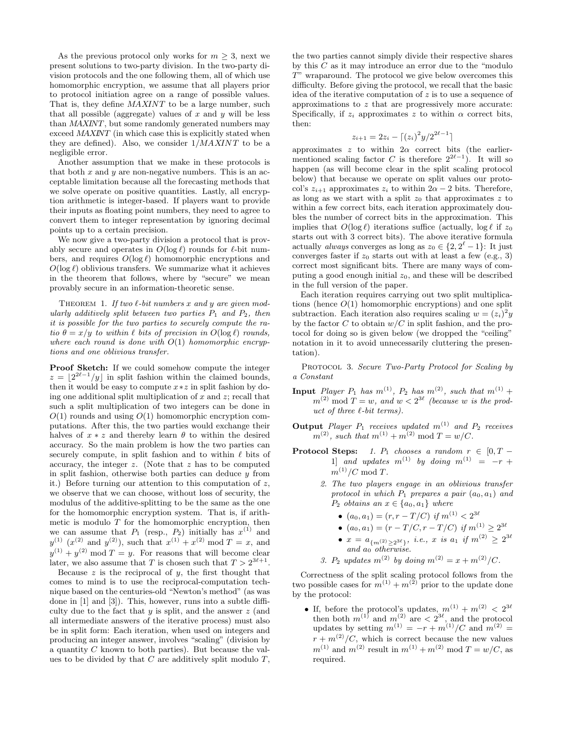As the previous protocol only works for  $m \geq 3$ , next we present solutions to two-party division. In the two-party division protocols and the one following them, all of which use homomorphic encryption, we assume that all players prior to protocol initiation agree on a range of possible values. That is, they define *MAXINT* to be a large number, such that all possible (aggregate) values of  $x$  and  $y$  will be less than MAXINT, but some randomly generated numbers may exceed MAXINT (in which case this is explicitly stated when they are defined). Also, we consider  $1/MAXINT$  to be a negligible error.

Another assumption that we make in these protocols is that both  $x$  and  $y$  are non-negative numbers. This is an acceptable limitation because all the forecasting methods that we solve operate on positive quantities. Lastly, all encryption arithmetic is integer-based. If players want to provide their inputs as floating point numbers, they need to agree to convert them to integer representation by ignoring decimal points up to a certain precision.

We now give a two-party division a protocol that is provably secure and operates in  $O(\log \ell)$  rounds for  $\ell$ -bit numbers, and requires  $O(\log \ell)$  homomorphic encryptions and  $O(\log \ell)$  oblivious transfers. We summarize what it achieves in the theorem that follows, where by "secure" we mean provably secure in an information-theoretic sense.

THEOREM 1. If two  $\ell$ -bit numbers x and y are given modularly additively split between two parties  $P_1$  and  $P_2$ , then it is possible for the two parties to securely compute the ratio  $\theta = x/y$  to within  $\ell$  bits of precision in  $O(\log \ell)$  rounds, where each round is done with  $O(1)$  homomorphic encryptions and one oblivious transfer.

Proof Sketch: If we could somehow compute the integer  $z = \lfloor 2^{2\ell-1}/y \rfloor$  in split fashion within the claimed bounds, then it would be easy to compute  $x \cdot z$  in split fashion by doing one additional split multiplication of  $x$  and  $z$ ; recall that such a split multiplication of two integers can be done in  $O(1)$  rounds and using  $O(1)$  homomorphic encryption computations. After this, the two parties would exchange their halves of  $x * z$  and thereby learn  $\theta$  to within the desired accuracy. So the main problem is how the two parties can securely compute, in split fashion and to within  $\ell$  bits of accuracy, the integer z. (Note that z has to be computed in split fashion, otherwise both parties can deduce  $y$  from it.) Before turning our attention to this computation of  $z$ , we observe that we can choose, without loss of security, the modulus of the additive-splitting to be the same as the one for the homomorphic encryption system. That is, if arithmetic is modulo  $T$  for the homomorphic encryption, then we can assume that  $P_1$  (resp.,  $P_2$ ) initially has  $x^{(1)}$  and  $y^{(1)}$   $(x^{(2)} \text{ and } y^{(2)})$ , such that  $x^{(1)} + x^{(2)} \text{ mod } T = x$ , and  $y^{(1)} + y^{(2)}$  mod  $T = y$ . For reasons that will become clear later, we also assume that T is chosen such that  $T > 2^{3\ell+1}$ .

Because  $z$  is the reciprocal of  $y$ , the first thought that comes to mind is to use the reciprocal-computation technique based on the centuries-old "Newton's method" (as was done in [1] and [3]). This, however, runs into a subtle difficulty due to the fact that  $y$  is split, and the answer  $z$  (and all intermediate answers of the iterative process) must also be in split form: Each iteration, when used on integers and producing an integer answer, involves "scaling" (division by a quantity C known to both parties). But because the values to be divided by that  $C$  are additively split modulo  $T$ ,

the two parties cannot simply divide their respective shares by this  $C$  as it may introduce an error due to the "modulo" T" wraparound. The protocol we give below overcomes this difficulty. Before giving the protocol, we recall that the basic idea of the iterative computation of  $z$  is to use a sequence of approximations to z that are progressively more accurate: Specifically, if  $z_i$  approximates z to within  $\alpha$  correct bits, then:

$$
z_{i+1} = 2z_i - \lceil (z_i)^2 y/2^{2\ell - 1} \rceil
$$

approximates z to within  $2\alpha$  correct bits (the earliermentioned scaling factor C is therefore  $2^{2\ell-1}$ ). It will so happen (as will become clear in the split scaling protocol below) that because we operate on split values our protocol's  $z_{i+1}$  approximates  $z_i$  to within  $2\alpha - 2$  bits. Therefore, as long as we start with a split  $z_0$  that approximates z to within a few correct bits, each iteration approximately doubles the number of correct bits in the approximation. This implies that  $O(\log \ell)$  iterations suffice (actually,  $\log \ell$  if  $z_0$ starts out with 3 correct bits). The above iterative formula actually *always* converges as long as  $z_0 \in \{2, 2^{\ell} - 1\}$ : It just converges faster if  $z_0$  starts out with at least a few (e.g., 3) correct most significant bits. There are many ways of computing a good enough initial  $z_0$ , and these will be described in the full version of the paper.

Each iteration requires carrying out two split multiplications (hence  $O(1)$  homomorphic encryptions) and one split subtraction. Each iteration also requires scaling  $w = (z_i)^2 y$ by the factor  $C$  to obtain  $w/C$  in split fashion, and the protocol for doing so is given below (we dropped the "ceiling" notation in it to avoid unnecessarily cluttering the presentation).

PROTOCOL 3. Secure Two-Party Protocol for Scaling by a Constant

- **Input** Player  $P_1$  has  $m^{(1)}$ ,  $P_2$  has  $m^{(2)}$ , such that  $m^{(1)}$  +  $m^{(2)} \mod T = w$ , and  $w < 2^{3\ell}$  (because w is the product of three  $\ell$ -bit terms).
- **Output** Player  $P_1$  receives updated  $m^{(1)}$  and  $P_2$  receives  $m^{(2)}$ , such that  $m^{(1)} + m^{(2)} \mod T = w/C$ .
- Protocol Steps: 1.  $P_1$  chooses a random  $r \in [0, T -$ 1] and updates  $m^{(1)}$  by doing  $m^{(1)} = -r +$  $m^{(1)}/C \mod T$ .
	- 2. The two players engage in an oblivious transfer protocol in which  $P_1$  prepares a pair  $(a_0, a_1)$  and  $P_2$  obtains an  $x \in \{a_0, a_1\}$  where
		- $(a_0, a_1) = (r, r T/C)$  if  $m^{(1)} < 2^{3\ell}$
		- $\bullet \ \ (a_0,a_1) = (r T/C, r T/C) \ \ if \ m^{(1)} \geq 2^{3\ell}$
		- $\bullet$   $x = a_{\{m^{(2)} \geq 2^{3\ell}\}}, \; i.e., \; x \; \, is \; a_1 \; \, if \; m^{(2)} \, \geq \, 2^{3\ell}$ and a<sub>0</sub> otherwise.
	- 3. P<sub>2</sub> updates  $m^{(2)}$  by doing  $m^{(2)} = x + m^{(2)}/C$ .

Correctness of the split scaling protocol follows from the two possible cases for  $m^{(1)} + m^{(2)}$  prior to the update done by the protocol:

• If, before the protocol's updates,  $m^{(1)} + m^{(2)} < 2^{3\ell}$ then both  $m^{(1)}$  and  $m^{(2)}$  are  $\langle 2^{3\ell} \rangle$ , and the protocol updates by setting  $m^{(1)} = -r + m^{(1)}/C$  and  $m^{(2)} =$  $r + m^{(2)}/C$ , which is correct because the new values  $m^{(1)}$  and  $m^{(2)}$  result in  $m^{(1)} + m^{(2)}$  mod  $T = w/C$ , as required.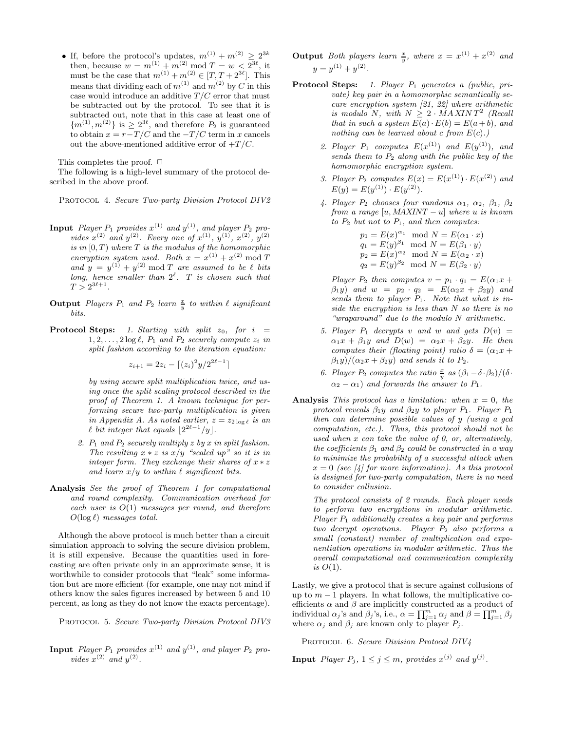• If, before the protocol's updates,  $m^{(1)} + m^{(2)} \geq 2^{3k}$ then, because  $w = m^{(1)} + m^{(2)} \mod T = w < 2^{3\ell}$ , it must be the case that  $m^{(1)} + m^{(2)} \in [T, T + 2^{3\ell}]$ . This means that dividing each of  $m^{(1)}$  and  $m^{(2)}$  by C in this case would introduce an additive  $T/C$  error that must be subtracted out by the protocol. To see that it is subtracted out, note that in this case at least one of  ${m<sup>(1)</sup>, m<sup>(2)</sup>}$  is  $\geq 2^{3\ell}$ , and therefore  $P_2$  is guaranteed to obtain  $x = r - T/C$  and the  $-T/C$  term in x cancels out the above-mentioned additive error of  $+T/C$ .

This completes the proof.  $\Box$ 

The following is a high-level summary of the protocol described in the above proof.

PROTOCOL 4. Secure Two-party Division Protocol DIV2

- **Input** Player  $P_1$  provides  $x^{(1)}$  and  $y^{(1)}$ , and player  $P_2$  provides  $x^{(2)}$  and  $y^{(2)}$ . Every one of  $x^{(1)}$ ,  $y^{(1)}$ ,  $x^{(2)}$ ,  $y^{(2)}$ is in  $[0, T)$  where  $T$  is the modulus of the homomorphic encryption system used. Both  $x = x^{(1)} + x^{(2)} \mod T$ and  $y = y^{(1)} + y^{(2)}$  mod T are assumed to be  $\ell$  bits long, hence smaller than  $2^{\ell}$ . T is chosen such that  $T > 2^{3\ell+1}.$
- **Output** Players  $P_1$  and  $P_2$  learn  $\frac{x}{y}$  to within  $\ell$  significant bits.
- **Protocol Steps:** 1. Starting with split  $z_0$ , for  $i =$  $1, 2, \ldots, 2 \log \ell$ ,  $P_1$  and  $P_2$  securely compute  $z_i$  in split fashion according to the iteration equation:

$$
z_{i+1} = 2z_i - \lceil (z_i)^2 y/2^{2\ell - 1} \rceil
$$

by using secure split multiplication twice, and using once the split scaling protocol described in the proof of Theorem 1. A known technique for performing secure two-party multiplication is given in Appendix A. As noted earlier,  $z = z_{2 \log \ell}$  is an  $\ell$  bit integer that equals  $\lfloor 2^{2\ell-1}/y \rfloor$ .

- 2.  $P_1$  and  $P_2$  securely multiply z by x in split fashion. The resulting  $x * z$  is  $x/y$  "scaled up" so it is in integer form. They exchange their shares of  $x * z$ and learn  $x/y$  to within  $\ell$  significant bits.
- Analysis See the proof of Theorem 1 for computational and round complexity. Communication overhead for each user is  $O(1)$  messages per round, and therefore  $O(\log \ell)$  messages total.

Although the above protocol is much better than a circuit simulation approach to solving the secure division problem, it is still expensive. Because the quantities used in forecasting are often private only in an approximate sense, it is worthwhile to consider protocols that "leak" some information but are more efficient (for example, one may not mind if others know the sales figures increased by between 5 and 10 percent, as long as they do not know the exacts percentage).

PROTOCOL 5. Secure Two-party Division Protocol DIV3

**Input** Player  $P_1$  provides  $x^{(1)}$  and  $y^{(1)}$ , and player  $P_2$  provides  $x^{(2)}$  and  $y^{(2)}$ .

- **Output** Both players learn  $\frac{x}{y}$ , where  $x = x^{(1)} + x^{(2)}$  and  $y = y^{(1)} + y^{(2)}$ .
- **Protocol Steps:** 1. Player  $P_1$  generates a (public, private) key pair in a homomorphic semantically secure encryption system [21, 22] where arithmetic is modulo N, with  $N \geq 2 \cdot MAXINT^2$  (Recall that in such a system  $E(a) \cdot E(b) = E(a+b)$ , and nothing can be learned about c from  $E(c)$ .)
	- 2. Player  $P_1$  computes  $E(x^{(1)})$  and  $E(y^{(1)})$ , and sends them to  $P_2$  along with the public key of the homomorphic encryption system.
	- 3. Player  $P_2$  computes  $E(x) = E(x^{(1)}) \cdot E(x^{(2)})$  and  $E(y) = E(y^{(1)}) \cdot E(y^{(2)})$ .
	- 4. Player  $P_2$  chooses four randoms  $\alpha_1, \alpha_2, \beta_1, \beta_2$ from a range  $[u, MAXINT - u]$  where u is known to  $P_2$  but not to  $P_1$ , and then computes:
		- $p_1 = E(x)^{\alpha_1} \mod N = E(\alpha_1 \cdot x)$  $q_1 = E(y)^{\beta_1} \mod N = E(\beta_1 \cdot y)$  $p_2 = E(x)^{\alpha_2} \mod N = E(\alpha_2 \cdot x)$  $q_2 = E(y)^{\beta_2} \mod N = E(\beta_2 \cdot y)$

Player  $P_2$  then computes  $v = p_1 \cdot q_1 = E(\alpha_1 x +$  $\beta_1y$ ) and  $w = p_2 \cdot q_2 = E(\alpha_2x + \beta_2y)$  and sends them to player  $P_1$ . Note that what is inside the encryption is less than N so there is no "wraparound" due to the modulo N arithmetic.

- 5. Player  $P_1$  decrypts v and w and gets  $D(v)$  =  $\alpha_1x + \beta_1y$  and  $D(w) = \alpha_2x + \beta_2y$ . He then computes their (floating point) ratio  $\delta = (\alpha_1 x +$  $(\beta_1 y)/(\alpha_2 x + \beta_2 y)$  and sends it to  $P_2$ .
- 6. Player  $P_2$  computes the ratio  $\frac{x}{y}$  as  $(\beta_1 \delta \cdot \beta_2)/(\delta \cdot \delta)$  $\alpha_2 - \alpha_1$ ) and forwards the answer to  $P_1$ .
- Analysis This protocol has a limitation: when  $x = 0$ , the protocol reveals  $\beta_1 y$  and  $\beta_2 y$  to player  $P_1$ . Player  $P_1$ then can determine possible values of y (using a gcd computation, etc.). Thus, this protocol should not be used when  $x$  can take the value of  $\theta$ , or, alternatively, the coefficients  $\beta_1$  and  $\beta_2$  could be constructed in a way to minimize the probability of a successful attack when  $x = 0$  (see [4] for more information). As this protocol is designed for two-party computation, there is no need to consider collusion.

The protocol consists of 2 rounds. Each player needs to perform two encryptions in modular arithmetic. Player  $P_1$  additionally creates a key pair and performs two decrypt operations. Player  $P_2$  also performs a small (constant) number of multiplication and exponentiation operations in modular arithmetic. Thus the overall computational and communication complexity is  $O(1)$ .

Lastly, we give a protocol that is secure against collusions of up to  $m-1$  players. In what follows, the multiplicative coefficients  $\alpha$  and  $\beta$  are implicitly constructed as a product of individual  $\alpha_j$ 's and  $\beta_j$ 's, i.e.,  $\alpha = \prod_{j=1}^m \alpha_j$  and  $\beta = \prod_{j=1}^m \beta_j$ where  $\alpha_j$  and  $\beta_j$  are known only to player  $P_j$ .

PROTOCOL 6. Secure Division Protocol DIV4

**Input** Player  $P_j$ ,  $1 \leq j \leq m$ , provides  $x^{(j)}$  and  $y^{(j)}$ .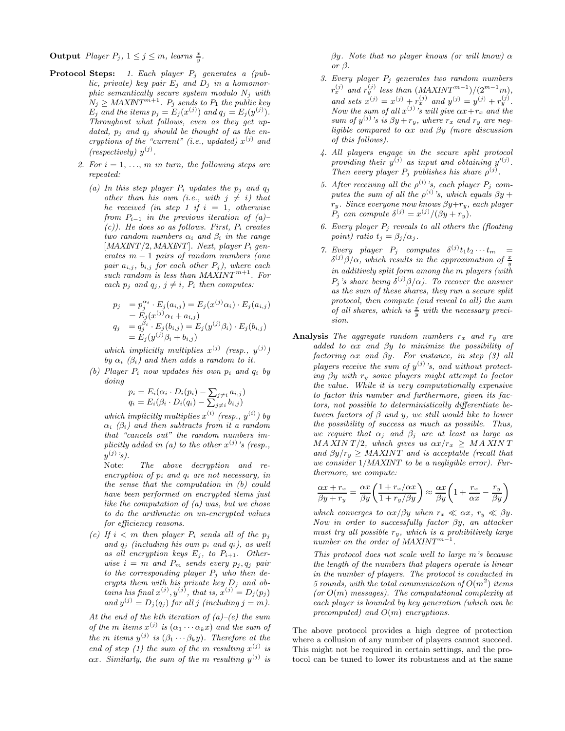Output *Player P<sub>j</sub>*,  $1 \leq j \leq m$ , *learns*  $\frac{x}{y}$ .

- **Protocol Steps:** 1. Each player  $P_j$  generates a (public, private) key pair  $E_j$  and  $D_j$  in a homomorphic semantically secure system modulo  $N_j$  with  $N_j \geq MAXINT^{m+1}$ .  $P_j$  sends to  $P_1$  the public key  $E_j$  and the items  $p_j = E_j(x^{(j)})$  and  $q_j = E_j(y^{(j)})$ . Throughout what follows, even as they get updated,  $p_j$  and  $q_j$  should be thought of as the encryptions of the "current" (i.e., updated)  $x^{(j)}$  and (respectively)  $y^{(j)}$ .
	- 2. For  $i = 1, \ldots, m$  in turn, the following steps are repeated:
		- (a) In this step player  $P_i$  updates the  $p_j$  and  $q_j$ other than his own (i.e., with  $j \neq i$ ) that he received (in step 1 if  $i = 1$ , otherwise from  $P_{i-1}$  in the previous iteration of  $(a)$ –  $(c)$ ). He does so as follows. First,  $P_i$  creates two random numbers  $\alpha_i$  and  $\beta_i$  in the range  $[MAXINT/2, MAXINT]$ . Next, player  $P_i$  generates  $m - 1$  pairs of random numbers (one pair  $a_{i,j}$ ,  $b_{i,j}$  for each other  $P_j$ ), where each such random is less than  $MAXINT^{m+1}$ . For each  $p_j$  and  $q_j$ ,  $j \neq i$ ,  $P_i$  then computes:

$$
p_j = p_j^{\alpha_i} \cdot E_j(a_{i,j}) = E_j(x^{(j)} \alpha_i) \cdot E_j(a_{i,j})
$$
  
=  $E_j(x^{(j)} \alpha_i + a_{i,j})$   

$$
q_j = q_j^{\beta_i} \cdot E_j(b_{i,j}) = E_j(y^{(j)} \beta_i) \cdot E_j(b_{i,j})
$$
  
=  $E_j(y^{(j)} \beta_i + b_{i,j})$ 

which implicitly multiplies  $x^{(j)}$  (resp.,  $y^{(j)}$ ) by  $\alpha_i$  ( $\beta_i$ ) and then adds a random to it.

(b) Player  $P_i$  now updates his own  $p_i$  and  $q_i$  by doing

$$
p_i = E_i(\alpha_i \cdot D_i(p_i) - \sum_{j \neq i} a_{i,j})
$$
  

$$
q_i = E_i(\beta_i \cdot D_i(q_i) - \sum_{j \neq i} b_{i,j})
$$

which implicitly multiplies  $x^{(i)}$  (resp.,  $y^{(i)}$ ) by  $\alpha_i$  ( $\beta_i$ ) and then subtracts from it a random that "cancels out" the random numbers implicitly added in (a) to the other  $x^{(j)}$ 's (resp.,  $y^{(j)}$ 's).

Note: The above decryption and reencryption of  $p_i$  and  $q_i$  are not necessary, in the sense that the computation in (b) could have been performed on encrypted items just like the computation of (a) was, but we chose to do the arithmetic on un-encrypted values for efficiency reasons.

(c) If  $i < m$  then player  $P_i$  sends all of the  $p_i$ and  $q_j$  (including his own  $p_i$  and  $q_i$ ), as well as all encryption keys  $E_j$ , to  $P_{i+1}$ . Otherwise  $i = m$  and  $P_m$  sends every  $p_j, q_j$  pair to the corresponding player  $P_j$  who then decrypts them with his private key  $D_j$  and obtains his final  $x^{(j)}$ ,  $y^{(j)}$ , that is,  $x^{(j)} = D_j(p_j)$ and  $y^{(j)} = D_j(q_j)$  for all j (including  $j = m$ ).

At the end of the kth iteration of  $(a)$ – $(e)$  the sum of the m items  $x^{(j)}$  is  $(\alpha_1 \cdots \alpha_k x)$  and the sum of the m items  $y^{(j)}$  is  $(\beta_1 \cdots \beta_k y)$ . Therefore at the end of step (1) the sum of the m resulting  $x^{(j)}$  is  $\alpha x$ . Similarly, the sum of the m resulting  $y^{(j)}$  is

βy. Note that no player knows (or will know)  $\alpha$ or β.

- 3. Every player  $P_i$  generates two random numbers  $r_x^{(j)}$  and  $r_y^{(j)}$  less than  $(MAXINT^{m-1})/(2^{m-1}m)$ , and sets  $x^{(j)} = x^{(j)} + r_x^{(j)}$  and  $y^{(j)} = y^{(j)} + r_y^{(j)}$ . Now the sum of all  $x^{(j)}$ 's will give  $\alpha x + r_x$  and the sum of  $y^{(j)}$ 's is  $\beta y + r_y$ , where  $r_x$  and  $r_y$  are negligible compared to  $\alpha x$  and  $\beta y$  (more discussion of this follows).
- 4. All players engage in the secure split protocol providing their  $y^{(j)}$  as input and obtaining  $y'^{(j)}$ . Then every player  $P_j$  publishes his share  $\rho^{(j)}$ .
- 5. After receiving all the  $\rho^{(i)}$ 's, each player  $P_j$  computes the sum of all the  $\rho^{(i)}$ 's, which equals  $\beta y +$  $r_y$ . Since everyone now knows  $\beta y + r_y$ , each player  $P_j$  can compute  $\delta^{(j)} = x^{(j)}/(\beta y + r_y)$ .
- 6. Every player  $P_j$  reveals to all others the (floating point) ratio  $t_j = \beta_j/\alpha_j$ .
- 7. Every player  $P_j$  computes  $\delta^{(j)}t_1t_2\cdots t_m$  =  $\delta^{(j)}\beta/\alpha$ , which results in the approximation of  $\frac{x}{y}$ in additively split form among the m players (with  $P_j$ 's share being  $\delta^{(j)}\beta/\alpha$ ). To recover the answer as the sum of these shares, they run a secure split protocol, then compute (and reveal to all) the sum of all shares, which is  $\frac{x}{y}$  with the necessary precision.
- Analysis The aggregate random numbers  $r_x$  and  $r_y$  are added to  $\alpha x$  and  $\beta y$  to minimize the possibility of factoring  $\alpha x$  and  $\beta y$ . For instance, in step (3) all players receive the sum of  $y^{(j)}$ 's, and without protecting  $\beta y$  with  $r_y$  some players might attempt to factor the value. While it is very computationally expensive to factor this number and furthermore, given its factors, not possible to deterministically differentiate between factors of  $\beta$  and y, we still would like to lower the possibility of success as much as possible. Thus, we require that  $\alpha_j$  and  $\beta_j$  are at least as large as  $MA XIN T/2$ , which gives us  $\alpha x/r_x \geq MA XIN T$ and  $\beta y/r_y \geq MAXINT$  and is acceptable (recall that we consider  $1/MAXINT$  to be a negligible error). Furthermore, we compute:

$$
\frac{\alpha x + r_x}{\beta y + r_y} = \frac{\alpha x}{\beta y} \left( \frac{1 + r_x / \alpha x}{1 + r_y / \beta y} \right) \approx \frac{\alpha x}{\beta y} \left( 1 + \frac{r_x}{\alpha x} - \frac{r_y}{\beta y} \right)
$$

which converges to  $\alpha x/\beta y$  when  $r_x \ll \alpha x$ ,  $r_y \ll \beta y$ . Now in order to successfully factor  $\beta y$ , an attacker must try all possible  $r_y$ , which is a prohibitively large number on the order of  $MAXINT^{m-1}$ .

This protocol does not scale well to large m's because the length of the numbers that players operate is linear in the number of players. The protocol is conducted in 5 rounds, with the total communication of  $O(m^2)$  items (or  $O(m)$  messages). The computational complexity at each player is bounded by key generation (which can be precomputed) and  $O(m)$  encryptions.

The above protocol provides a high degree of protection where a collusion of any number of players cannot succeed. This might not be required in certain settings, and the protocol can be tuned to lower its robustness and at the same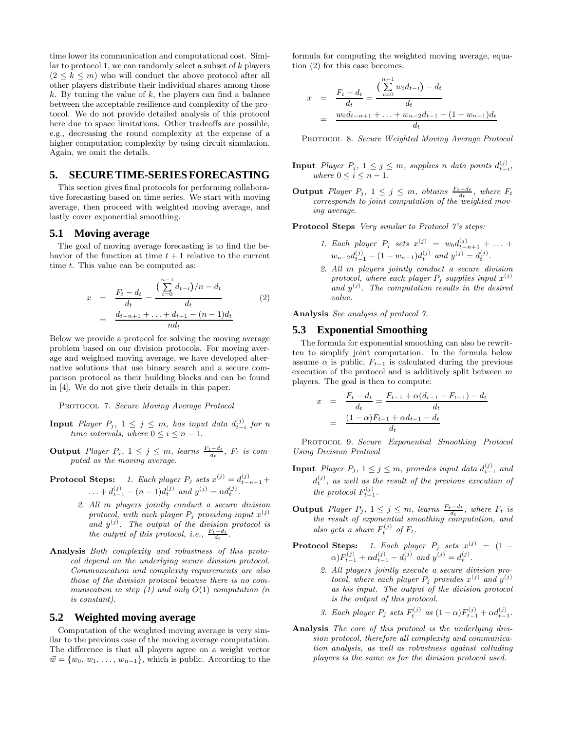time lower its communication and computational cost. Similar to protocol 1, we can randomly select a subset of  $k$  players  $(2 \leq k \leq m)$  who will conduct the above protocol after all other players distribute their individual shares among those k. By tuning the value of  $k$ , the players can find a balance between the acceptable resilience and complexity of the protocol. We do not provide detailed analysis of this protocol here due to space limitations. Other tradeoffs are possible, e.g., decreasing the round complexity at the expense of a higher computation complexity by using circuit simulation. Again, we omit the details.

## **5. SECURETIME-SERIESFORECASTING**

This section gives final protocols for performing collaborative forecasting based on time series. We start with moving average, then proceed with weighted moving average, and lastly cover exponential smoothing.

#### **5.1 Moving average**

The goal of moving average forecasting is to find the behavior of the function at time  $t + 1$  relative to the current time t. This value can be computed as:

$$
x = \frac{F_t - d_t}{d_t} = \frac{\left(\sum_{i=0}^{n-1} d_{t-i}\right)/n - d_t}{d_t}
$$
  
= 
$$
\frac{d_{t-n+1} + \ldots + d_{t-1} - (n-1)d_t}{n d_t}
$$
 (2)

Below we provide a protocol for solving the moving average problem based on our division protocols. For moving average and weighted moving average, we have developed alternative solutions that use binary search and a secure comparison protocol as their building blocks and can be found in [4]. We do not give their details in this paper.

PROTOCOL 7. Secure Moving Average Protocol

- **Input** Player  $P_j$ ,  $1 \leq j \leq m$ , has input data  $d_{t-i}^{(j)}$  for n time intervals, where  $0 \leq i \leq n-1$ .
- **Output** Player  $P_j$ ,  $1 \leq j \leq m$ , learns  $\frac{F_t-d_t}{d_t}$ ,  $F_t$  is computed as the moving average.
- **Protocol Steps:** 1. Each player  $P_j$  sets  $x^{(j)} = d_{t-n+1}^{(j)} +$  $\ldots + d_{t-1}^{(j)} - (n-1)d_t^{(j)}$  and  $y^{(j)} = nd_t^{(j)}$ .
	- 2. All m players jointly conduct a secure division protocol, with each player  $P_j$  providing input  $x^{(j)}$ and  $y^{(j)}$ . The output of the division protocol is the output of this protocol, i.e.,  $\frac{F_t-d_t}{d_t}$ .
- Analysis Both complexity and robustness of this protocol depend on the underlying secure division protocol. Communication and complexity requirements are also those of the division protocol because there is no communication in step  $(1)$  and only  $O(1)$  computation  $(n)$ is constant).

#### **5.2 Weighted moving average**

Computation of the weighted moving average is very similar to the previous case of the moving average computation. The difference is that all players agree on a weight vector  $\vec{w} = \{w_0, w_1, \ldots, w_{n-1}\},$  which is public. According to the formula for computing the weighted moving average, equation (2) for this case becomes:

$$
x = \frac{F_t - d_t}{d_t} = \frac{\left(\sum_{i=0}^{n-1} w_i d_{t-i}\right) - d_t}{d_t}
$$
  
= 
$$
\frac{w_0 d_{t-n+1} + \ldots + w_{n-2} d_{t-1} - (1 - w_{n-1}) d_t}{d_t}
$$

PROTOCOL 8. Secure Weighted Moving Average Protocol

- **Input** Player  $P_j$ ,  $1 \leq j \leq m$ , supplies n data points  $d_{t-i}^{(j)}$ , where  $0 \leq i \leq n-1$ .
- **Output** Player  $P_j$ ,  $1 \leq j \leq m$ , obtains  $\frac{F_t-d_t}{d_t}$ , where  $F_t$ corresponds to joint computation of the weighted moving average.

Protocol Steps Very similar to Protocol 7's steps:

- 1. Each player  $P_j$  sets  $x^{(j)} = w_0 d_{t-n+1}^{(j)} + \ldots +$  $w_{n-2}d_{t-1}^{(j)} - (1 - w_{n-1})d_t^{(j)}$  and  $y^{(j)} = d_t^{(j)}$ .
- 2. All m players jointly conduct a secure division protocol, where each player  $P_j$  supplies input  $x^{(j)}$ and  $y^{(j)}$ . The computation results in the desired value.

Analysis See analysis of protocol 7.

## **5.3 Exponential Smoothing**

The formula for exponential smoothing can also be rewritten to simplify joint computation. In the formula below assume  $\alpha$  is public,  $F_{t-1}$  is calculated during the previous execution of the protocol and is additively split between m players. The goal is then to compute:

$$
x = \frac{F_t - d_t}{d_t} = \frac{F_{t-1} + \alpha(d_{t-1} - F_{t-1}) - d_t}{d_t}
$$

$$
= \frac{(1-\alpha)F_{t-1} + \alpha d_{t-1} - d_t}{d_t}
$$

PROTOCOL 9. Secure Exponential Smoothing Protocol Using Division Protocol

- **Input** Player  $P_j$ ,  $1 \leq j \leq m$ , provides input data  $d_{t-1}^{(j)}$  and  $d_t^{(j)}$ , as well as the result of the previous execution of the protocol  $F_{t-1}^{(j)}$ .
- **Output** Player  $P_j$ ,  $1 \leq j \leq m$ , learns  $\frac{F_t-d_t}{dt}$ , where  $F_t$  is the result of exponential smoothing computation, and also gets a share  $F_t^{(j)}$  of  $F_t$ .
- **Protocol Steps:** 1. Each player  $P_j$  sets  $x^{(j)} = (1 \alpha$ ) $F_{t-1}^{(j)} + \alpha d_{t-1}^{(j)} - d_t^{(j)}$  and  $y^{(j)} = d_t^{(j)}$ .
	- 2. All players jointly execute a secure division protocol, where each player  $P_j$  provides  $x^{(j)}$  and  $y^{(j)}$ as his input. The output of the division protocol is the output of this protocol.
	- 3. Each player  $P_j$  sets  $F_t^{(j)}$  as  $(1 \alpha)F_{t-1}^{(j)} + \alpha d_{t-1}^{(j)}$ .
- Analysis The core of this protocol is the underlying division protocol, therefore all complexity and communication analysis, as well as robustness against colluding players is the same as for the division protocol used.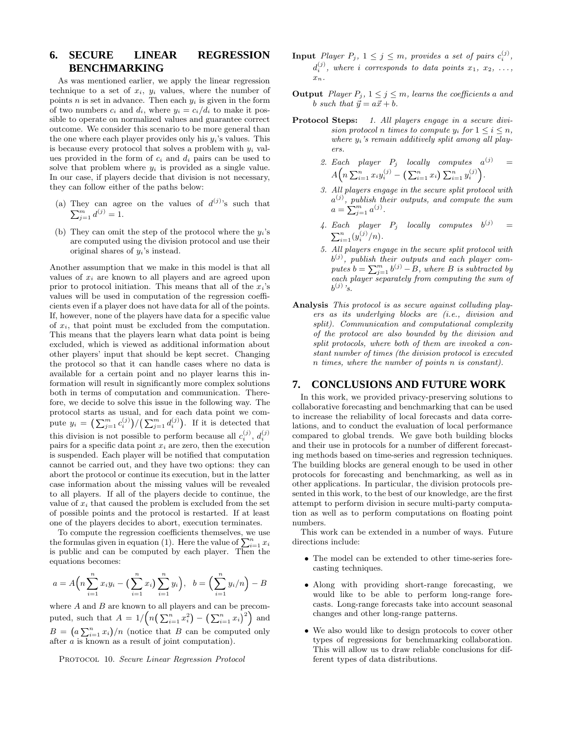# **6. SECURE LINEAR REGRESSION BENCHMARKING**

As was mentioned earlier, we apply the linear regression technique to a set of  $x_i$ ,  $y_i$  values, where the number of points *n* is set in advance. Then each  $y_i$  is given in the form of two numbers  $c_i$  and  $d_i$ , where  $y_i = c_i/d_i$  to make it possible to operate on normalized values and guarantee correct outcome. We consider this scenario to be more general than the one where each player provides only his  $y_i$ 's values. This is because every protocol that solves a problem with  $y_i$  values provided in the form of  $c_i$  and  $d_i$  pairs can be used to solve that problem where  $y_i$  is provided as a single value. In our case, if players decide that division is not necessary, they can follow either of the paths below:

- (a) They can agree on the values of  $d^{(j)}$ 's such that  $\sum_{j=1}^{m} d^{(j)} = 1.$
- (b) They can omit the step of the protocol where the  $y_i$ 's are computed using the division protocol and use their original shares of  $y_i$ 's instead.

Another assumption that we make in this model is that all values of  $x_i$  are known to all players and are agreed upon prior to protocol initiation. This means that all of the  $x_i$ 's values will be used in computation of the regression coefficients even if a player does not have data for all of the points. If, however, none of the players have data for a specific value of  $x_i$ , that point must be excluded from the computation. This means that the players learn what data point is being excluded, which is viewed as additional information about other players' input that should be kept secret. Changing the protocol so that it can handle cases where no data is available for a certain point and no player learns this information will result in significantly more complex solutions both in terms of computation and communication. Therefore, we decide to solve this issue in the following way. The protocol starts as usual, and for each data point we compute  $y_i = \left(\sum_{j=1}^m c_i^{(j)}\right) / \left(\sum_{j=1}^m d_i^{(j)}\right)$ . If it is detected that<br>this division is not possible to perform because all  $c_j^{(j)}$   $d_j^{(j)}$ this division is not possible to perform because all  $c_i^{(j)}$ ,  $d_i^{(j)}$ pairs for a specific data point  $x_i$  are zero, then the execution is suspended. Each player will be notified that computation cannot be carried out, and they have two options: they can abort the protocol or continue its execution, but in the latter case information about the missing values will be revealed to all players. If all of the players decide to continue, the value of  $x_i$  that caused the problem is excluded from the set of possible points and the protocol is restarted. If at least one of the players decides to abort, execution terminates.

To compute the regression coefficients themselves, we use the formulas given in equation (1). Here the value of  $\sum_{i=1}^{n} x_i$ is public and can be computed by each player. Then the equations becomes:

$$
a = A\left(n\sum_{i=1}^{n} x_i y_i - \left(\sum_{i=1}^{n} x_i\right) \sum_{i=1}^{n} y_i\right), \ \ b = \left(\sum_{i=1}^{n} y_i/n\right) - B
$$

where  $A$  and  $B$  are known to all players and can be precomputed, such that  $A = 1/\left(n\left(\sum_{i=1}^n x_i^2\right) - \left(\sum_{i=1}^n x_i\right)^2\right)$  and<br>  $B = \left(a\sum_{i=1}^n x_i\right)/n$  (potice that B can be computed only  $B = (a \sum_{i=1}^{n} x_i)/n$  (notice that B can be computed only after a is known as a result of joint computation).

PROTOCOL 10. Secure Linear Regression Protocol

- **Input** Player  $P_j$ ,  $1 \leq j \leq m$ , provides a set of pairs  $c_i^{(j)}$ ,  $d_i^{(j)}$ , where i corresponds to data points  $x_1, x_2, \ldots$ ,  $x_n$ .
- **Output** Player  $P_j$ ,  $1 \leq j \leq m$ , learns the coefficients a and b such that  $\vec{y} = a\vec{x} + b$ .
- Protocol Steps: 1. All players engage in a secure division protocol n times to compute  $y_i$  for  $1 \leq i \leq n$ , where  $y_i$ 's remain additively split among all players.
	- 2. Each player  $P_j$  locally computes  $a^{(j)} =$  $A\left(n\sum_{i=1}^n x_iy_i^{(j)} - \left(\sum_{i=1}^n x_i\right)\sum_{i=1}^n y_i^{(j)}\right).$
	- 3. All players engage in the secure split protocol with  $a^{(j)}$ , publish their outputs, and compute the sum  $a = \sum_{j=1}^{m} a^{(j)}$ .
	- 4. Each player  $P_j$  locally computes  $b^{(j)} =$  $\sum_{i=1}^{n} (y_i^{(j)}/n).$
	- 5. All players engage in the secure split protocol with  $b^{(j)}$ , publish their outputs and each player computes  $b = \sum_{j=1}^{m} b^{(j)} - B$ , where B is subtracted by each player separately from computing the sum of  $b^{(j)}$  's.
- Analysis This protocol is as secure against colluding players as its underlying blocks are (i.e., division and split). Communication and computational complexity of the protocol are also bounded by the division and split protocols, where both of them are invoked a constant number of times (the division protocol is executed n times, where the number of points n is constant).

#### **7. CONCLUSIONS AND FUTURE WORK**

In this work, we provided privacy-preserving solutions to collaborative forecasting and benchmarking that can be used to increase the reliability of local forecasts and data correlations, and to conduct the evaluation of local performance compared to global trends. We gave both building blocks and their use in protocols for a number of different forecasting methods based on time-series and regression techniques. The building blocks are general enough to be used in other protocols for forecasting and benchmarking, as well as in other applications. In particular, the division protocols presented in this work, to the best of our knowledge, are the first attempt to perform division in secure multi-party computation as well as to perform computations on floating point numbers.

This work can be extended in a number of ways. Future directions include:

- The model can be extended to other time-series forecasting techniques.
- Along with providing short-range forecasting, we would like to be able to perform long-range forecasts. Long-range forecasts take into account seasonal changes and other long-range patterns.
- We also would like to design protocols to cover other types of regressions for benchmarking collaboration. This will allow us to draw reliable conclusions for different types of data distributions.